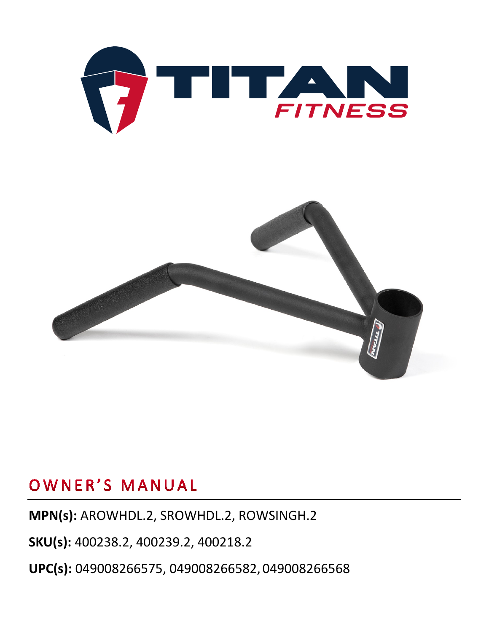



# OWNER'S MANUAL

**MPN(s):** AROWHDL.2, SROWHDL.2, ROWSINGH.2

**SKU(s):** 400238.2, 400239.2, 400218.2

**UPC(s):** 049008266575, 049008266582, 049008266568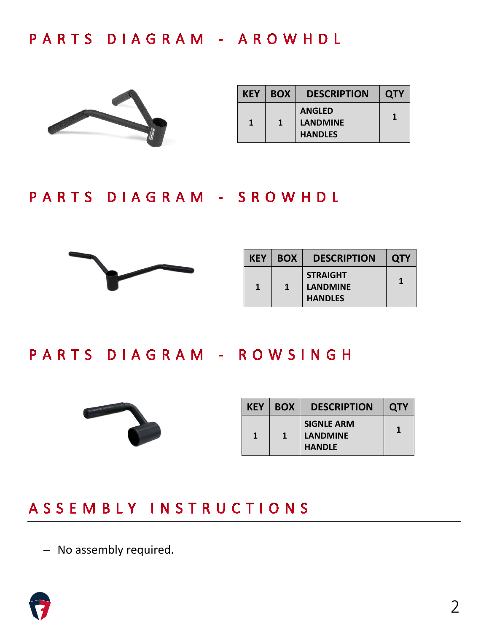

| <b>KEY</b> | <b>BOX</b> | <b>DESCRIPTION</b>                                 | <b>QTY</b> |
|------------|------------|----------------------------------------------------|------------|
| 1          | 1          | <b>ANGLED</b><br><b>LANDMINE</b><br><b>HANDLES</b> | 1          |

#### PARTS DIAGRAM - SROWHDL



| <b>KEY</b> | <b>BOX</b> | <b>DESCRIPTION</b>                                   | <b>QTY</b> |
|------------|------------|------------------------------------------------------|------------|
| 1          | 1          | <b>STRAIGHT</b><br><b>LANDMINE</b><br><b>HANDLES</b> |            |

### PARTS DIAGRAM - ROWSINGH



| <b>KEY</b> | <b>BOX</b> | <b>DESCRIPTION</b>                                    | <b>QTY</b> |
|------------|------------|-------------------------------------------------------|------------|
| 1          | 1          | <b>SIGNLE ARM</b><br><b>LANDMINE</b><br><b>HANDLE</b> |            |

### ASSEMBLY INSTRUCTIONS

− No assembly required.